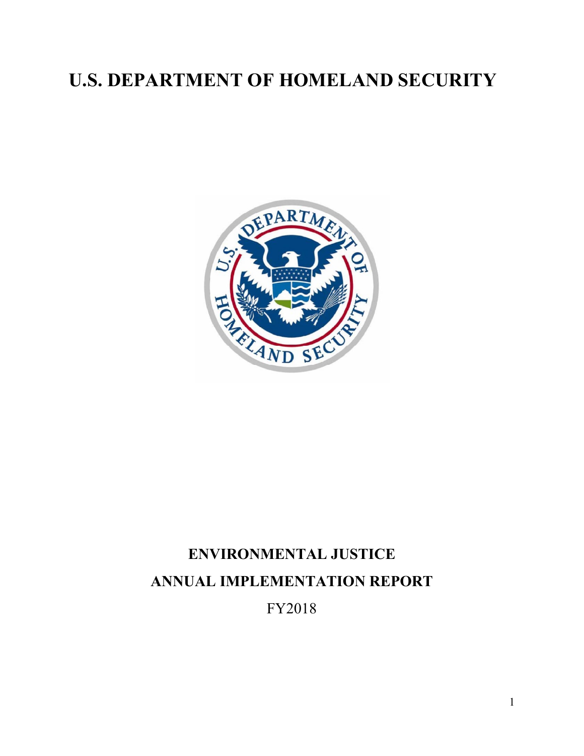# **U.S. DEPARTMENT OF HOMELAND SECURITY**



# **ENVIRONMENTAL JUSTICE ANNUAL IMPLEMENTATION REPORT** FY2018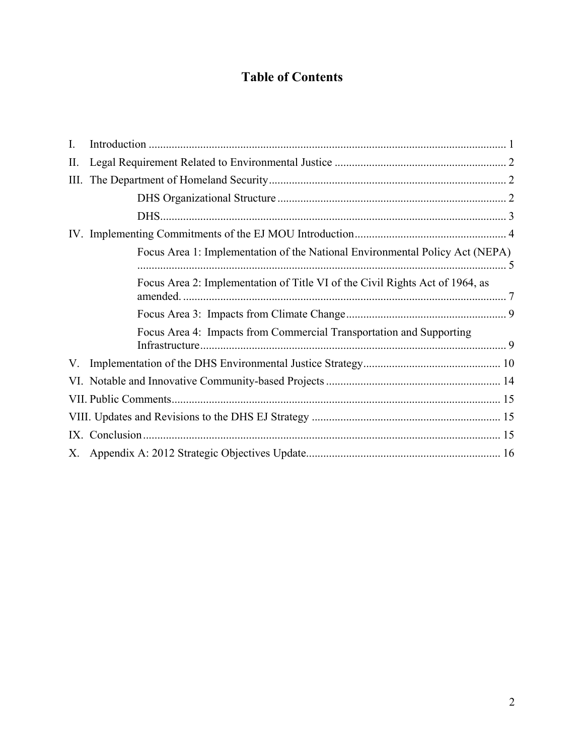## **Table of Contents**

| I.   |                                                                              |  |  |  |  |
|------|------------------------------------------------------------------------------|--|--|--|--|
| II.  |                                                                              |  |  |  |  |
| III. |                                                                              |  |  |  |  |
|      |                                                                              |  |  |  |  |
|      |                                                                              |  |  |  |  |
|      |                                                                              |  |  |  |  |
|      | Focus Area 1: Implementation of the National Environmental Policy Act (NEPA) |  |  |  |  |
|      | Focus Area 2: Implementation of Title VI of the Civil Rights Act of 1964, as |  |  |  |  |
|      |                                                                              |  |  |  |  |
|      | Focus Area 4: Impacts from Commercial Transportation and Supporting          |  |  |  |  |
|      |                                                                              |  |  |  |  |
|      |                                                                              |  |  |  |  |
|      |                                                                              |  |  |  |  |
|      |                                                                              |  |  |  |  |
|      |                                                                              |  |  |  |  |
|      |                                                                              |  |  |  |  |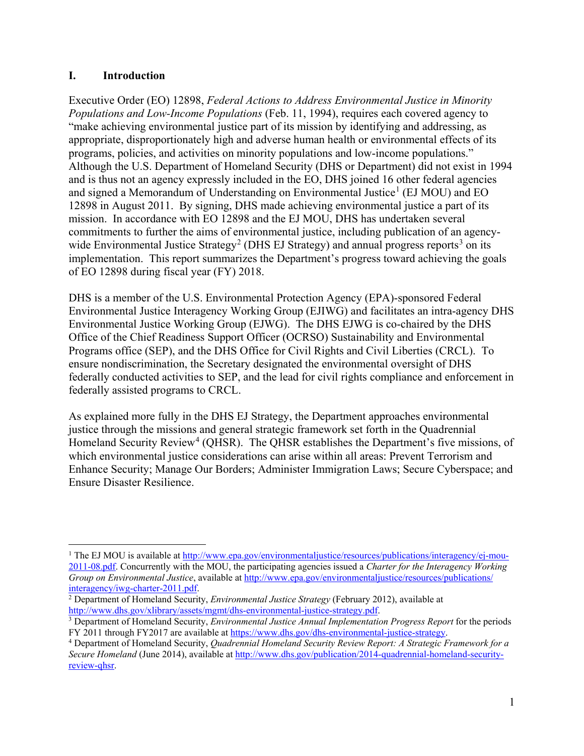#### <span id="page-2-0"></span>**I. Introduction**

 $\overline{a}$ 

Executive Order (EO) 12898, *Federal Actions to Address Environmental Justice in Minority Populations and Low-Income Populations* (Feb. 11, 1994), requires each covered agency to "make achieving environmental justice part of its mission by identifying and addressing, as appropriate, disproportionately high and adverse human health or environmental effects of its programs, policies, and activities on minority populations and low-income populations." Although the U.S. Department of Homeland Security (DHS or Department) did not exist in 1994 and is thus not an agency expressly included in the EO, DHS joined 16 other federal agencies and signed a Memorandum of Understanding on Environmental Justice<sup>[1](#page-2-1)</sup> (EJ MOU) and EO 12898 in August 2011. By signing, DHS made achieving environmental justice a part of its mission. In accordance with EO 12898 and the EJ MOU, DHS has undertaken several commitments to further the aims of environmental justice, including publication of an agency-wide Environmental Justice Strategy<sup>[2](#page-2-2)</sup> (DHS EJ Strategy) and annual progress reports<sup>[3](#page-2-3)</sup> on its implementation. This report summarizes the Department's progress toward achieving the goals of EO 12898 during fiscal year (FY) 2018.

DHS is a member of the U.S. Environmental Protection Agency (EPA)-sponsored Federal Environmental Justice Interagency Working Group (EJIWG) and facilitates an intra-agency DHS Environmental Justice Working Group (EJWG). The DHS EJWG is co-chaired by the DHS Office of the Chief Readiness Support Officer (OCRSO) Sustainability and Environmental Programs office (SEP), and the DHS Office for Civil Rights and Civil Liberties (CRCL). To ensure nondiscrimination, the Secretary designated the environmental oversight of DHS federally conducted activities to SEP, and the lead for civil rights compliance and enforcement in federally assisted programs to CRCL.

As explained more fully in the DHS EJ Strategy, the Department approaches environmental justice through the missions and general strategic framework set forth in the Quadrennial Homeland Security Review<sup>[4](#page-2-4)</sup> (QHSR). The QHSR establishes the Department's five missions, of which environmental justice considerations can arise within all areas: Prevent Terrorism and Enhance Security; Manage Our Borders; Administer Immigration Laws; Secure Cyberspace; and Ensure Disaster Resilience.

<span id="page-2-1"></span><sup>&</sup>lt;sup>1</sup> The EJ MOU is available a[t http://www.epa.gov/environmentaljustice/resources/publications/interagency/ej-mou-](http://www.epa.gov/environmentaljustice/resources/publications/interagency/ej-mou-2011-08.pdf)[2011-08.pdf.](http://www.epa.gov/environmentaljustice/resources/publications/interagency/ej-mou-2011-08.pdf) Concurrently with the MOU, the participating agencies issued a *Charter for the Interagency Working Group on Environmental Justice*, available at  $\frac{http://www.epa.gov/environmentaljustice/resources/publications/interagency/iwg-charter-2011.pdf.$ 

<span id="page-2-2"></span><sup>&</sup>lt;sup>2</sup> Department of Homeland Security, *Environmental Justice Strategy* (February 2012), available at http://www.dhs.gov/xlibrary/assets/mgmt/dhs-environmental-justice-strategy.pdf.

<span id="page-2-3"></span> $\frac{3}{3}$  Department of Homeland Security, *Environmental Justice Annual Implementation Progress Report* for the periods FY 2011 through FY2017 are available a[t https://www.dhs.gov/dhs-environmental-justice-strategy.](https://www.dhs.gov/dhs-environmental-justice-strategy) 4 Department of Homeland Security, *Quadrennial Homeland Security Review Report: A Strategic Framework for a* 

<span id="page-2-4"></span>*Secure Homeland* (June 2014), available at [http://www.dhs.gov/publication/2014-quadrennial-homeland-security](http://www.dhs.gov/publication/2014-quadrennial-homeland-security-review-qhsr)[review-qhsr.](http://www.dhs.gov/publication/2014-quadrennial-homeland-security-review-qhsr)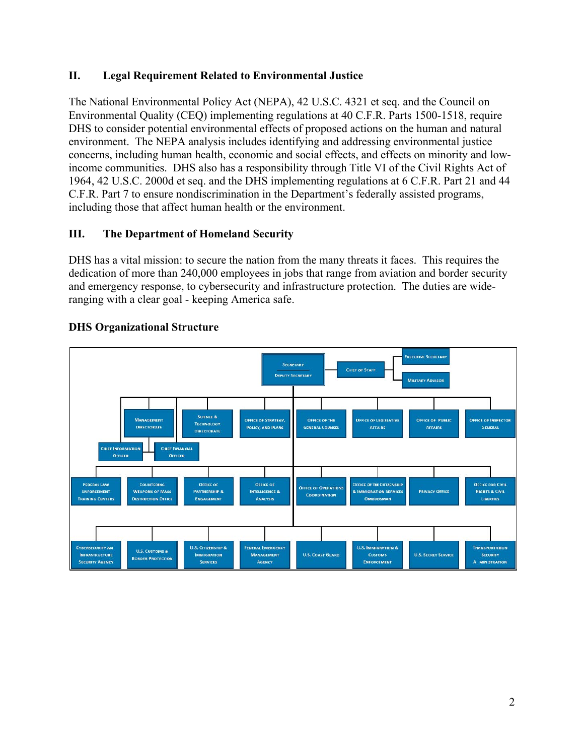## <span id="page-3-0"></span>**II. Legal Requirement Related to Environmental Justice**

The National Environmental Policy Act (NEPA), 42 U.S.C. 4321 et seq. and the Council on Environmental Quality (CEQ) implementing regulations at 40 C.F.R. Parts 1500-1518, require DHS to consider potential environmental effects of proposed actions on the human and natural environment. The NEPA analysis includes identifying and addressing environmental justice concerns, including human health, economic and social effects, and effects on minority and lowincome communities. DHS also has a responsibility through Title VI of the Civil Rights Act of 1964, 42 U.S.C. 2000d et seq. and the DHS implementing regulations at 6 C.F.R. Part 21 and 44 C.F.R. Part 7 to ensure nondiscrimination in the Department's federally assisted programs, including those that affect human health or the environment.

## <span id="page-3-1"></span>**III. The Department of Homeland Security**

DHS has a vital mission: to secure the nation from the many threats it faces. This requires the dedication of more than 240,000 employees in jobs that range from aviation and border security and emergency response, to cybersecurity and infrastructure protection. The duties are wideranging with a clear goal - keeping America safe.



#### <span id="page-3-2"></span>**DHS Organizational Structure**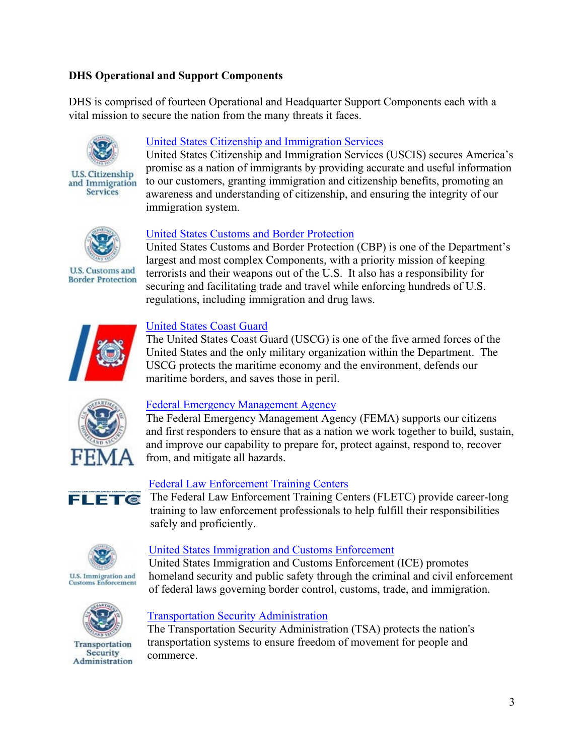## <span id="page-4-0"></span>**DHS Operational and Support Components**

DHS is comprised of fourteen Operational and Headquarter Support Components each with a vital mission to secure the nation from the many threats it faces.



**U.S. Citizenship** and Immigration **Services** 

## [United States Citizenship and Immigration Services](http://www.uscis.gov/)

United States Citizenship and Immigration Services (USCIS) secures America's promise as a nation of immigrants by providing accurate and useful information to our customers, granting immigration and citizenship benefits, promoting an awareness and understanding of citizenship, and ensuring the integrity of our immigration system.



**U.S. Customs and Border Protection** 

#### [United States Customs and Border Protection](http://www.cbp.gov/)

United States Customs and Border Protection (CBP) is one of the Department's largest and most complex Components, with a priority mission of keeping terrorists and their weapons out of the U.S. It also has a responsibility for securing and facilitating trade and travel while enforcing hundreds of U.S. regulations, including immigration and drug laws.



#### [United States Coast Guard](http://www.uscg.mil/)

The United States Coast Guard (USCG) is one of the five armed forces of the United States and the only military organization within the Department. The USCG protects the maritime economy and the environment, defends our maritime borders, and saves those in peril.



#### [Federal Emergency Management Agency](http://www.fema.gov/)

The Federal Emergency Management Agency (FEMA) supports our citizens and first responders to ensure that as a nation we work together to build, sustain, and improve our capability to prepare for, protect against, respond to, recover from, and mitigate all hazards.



#### [Federal Law Enforcement Training Centers](http://www.fletc.gov/)

The Federal Law Enforcement Training Centers (FLETC) provide career-long training to law enforcement professionals to help fulfill their responsibilities safely and proficiently.



#### [United States Immigration and Customs Enforcement](http://www.ice.gov/)

United States Immigration and Customs Enforcement (ICE) promotes homeland security and public safety through the criminal and civil enforcement of federal laws governing border control, customs, trade, and immigration.



Transportation **Security** Administration

#### [Transportation Security Administration](http://www.tsa.gov/)

The Transportation Security Administration (TSA) protects the nation's transportation systems to ensure freedom of movement for people and commerce.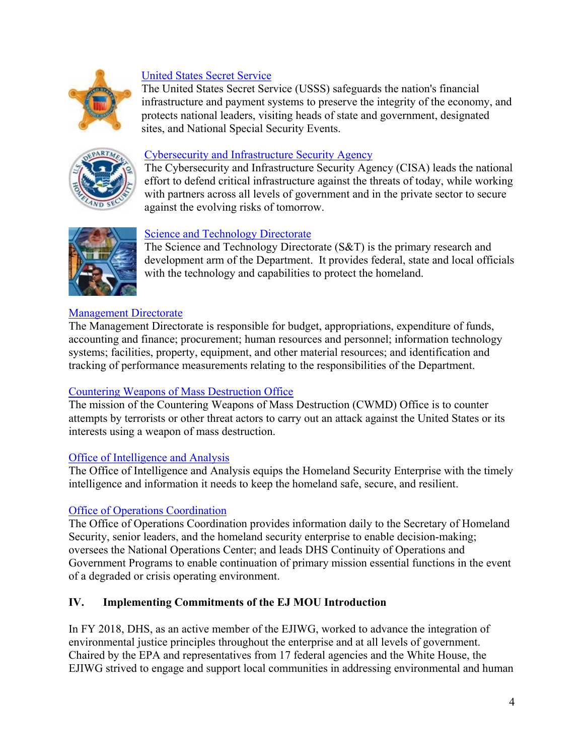

## [United States Secret Service](http://www.secretservice.gov/)

The United States Secret Service (USSS) safeguards the nation's financial infrastructure and payment systems to preserve the integrity of the economy, and protects national leaders, visiting heads of state and government, designated sites, and National Special Security Events.



#### [Cybersecurity and Infrastructure Security Agency](https://www.cisa.gov/)

The Cybersecurity and Infrastructure Security Agency (CISA) leads the national effort to defend critical infrastructure against the threats of today, while working with partners across all levels of government and in the private sector to secure against the evolving risks of tomorrow.



#### [Science and Technology Directorate](https://www.dhs.gov/science-and-technology)

The Science and Technology Directorate (S&T) is the primary research and development arm of the Department. It provides federal, state and local officials with the technology and capabilities to protect the homeland.

#### [Management Directorate](https://www.dhs.gov/directorate-management)

The Management Directorate is responsible for budget, appropriations, expenditure of funds, accounting and finance; procurement; human resources and personnel; information technology systems; facilities, property, equipment, and other material resources; and identification and tracking of performance measurements relating to the responsibilities of the Department.

#### [Countering](https://www.dhs.gov/office-health-affairs) Weapons of Mass Destruction Office

The mission of the Countering Weapons of Mass Destruction (CWMD) Office is to counter attempts by terrorists or other threat actors to carry out an attack against the United States or its interests using a weapon of mass destruction.

#### [Office of Intelligence and Analysis](https://www.dhs.gov/office-intelligence-and-analysis)

The Office of Intelligence and Analysis equips the Homeland Security Enterprise with the timely intelligence and information it needs to keep the homeland safe, secure, and resilient.

#### [Office of Operations Coordination](https://www.dhs.gov/office-operations-coordination)

The Office of Operations Coordination provides information daily to the Secretary of Homeland Security, senior leaders, and the homeland security enterprise to enable decision-making; oversees the National Operations Center; and leads DHS Continuity of Operations and Government Programs to enable continuation of primary mission essential functions in the event of a degraded or crisis operating environment.

#### <span id="page-5-0"></span>**IV. Implementing Commitments of the EJ MOU Introduction**

In FY 2018, DHS, as an active member of the EJIWG, worked to advance the integration of environmental justice principles throughout the enterprise and at all levels of government. Chaired by the EPA and representatives from 17 federal agencies and the White House, the EJIWG strived to engage and support local communities in addressing environmental and human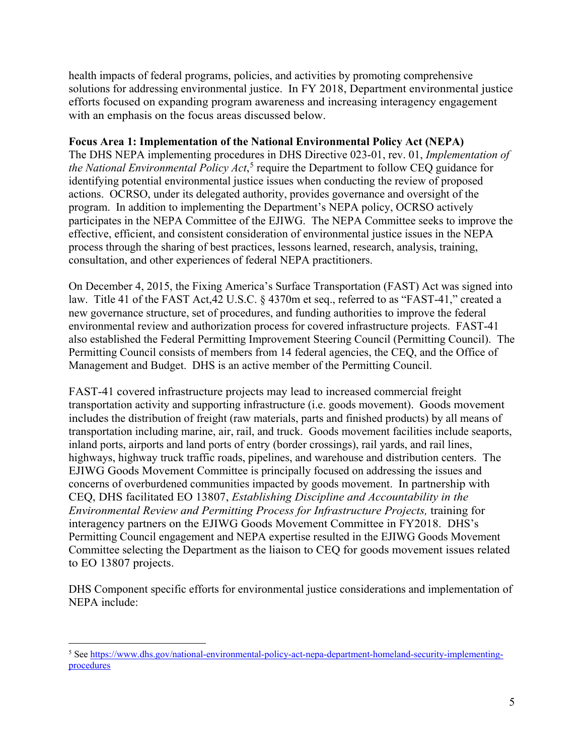health impacts of federal programs, policies, and activities by promoting comprehensive solutions for addressing environmental justice. In FY 2018, Department environmental justice efforts focused on expanding program awareness and increasing interagency engagement with an emphasis on the focus areas discussed below.

#### <span id="page-6-0"></span>**Focus Area 1: Implementation of the National Environmental Policy Act (NEPA)**

The DHS NEPA implementing procedures in DHS Directive 023-01, rev. 01, *Implementation of the National Environmental Policy Act*, [5](#page-6-1) require the Department to follow CEQ guidance for identifying potential environmental justice issues when conducting the review of proposed actions. OCRSO, under its delegated authority, provides governance and oversight of the program. In addition to implementing the Department's NEPA policy, OCRSO actively participates in the NEPA Committee of the EJIWG. The NEPA Committee seeks to improve the effective, efficient, and consistent consideration of environmental justice issues in the NEPA process through the sharing of best practices, lessons learned, research, analysis, training, consultation, and other experiences of federal NEPA practitioners.

On December 4, 2015, the Fixing America's Surface Transportation (FAST) Act was signed into law. Title 41 of the FAST Act,42 U.S.C. § 4370m et seq., referred to as "FAST-41," created a new governance structure, set of procedures, and funding authorities to improve the federal environmental review and authorization process for covered infrastructure projects. FAST-41 also established the Federal Permitting Improvement Steering Council (Permitting Council). The Permitting Council consists of members from 14 federal agencies, the CEQ, and the Office of Management and Budget. DHS is an active member of the Permitting Council.

FAST-41 covered infrastructure projects may lead to increased commercial freight transportation activity and supporting infrastructure (i.e. goods movement). Goods movement includes the distribution of freight (raw materials, parts and finished products) by all means of transportation including marine, air, rail, and truck. Goods movement facilities include seaports, inland ports, airports and land ports of entry (border crossings), rail yards, and rail lines, highways, highway truck traffic roads, pipelines, and warehouse and distribution centers. The EJIWG Goods Movement Committee is principally focused on addressing the issues and concerns of overburdened communities impacted by goods movement. In partnership with CEQ, DHS facilitated EO 13807, *Establishing Discipline and Accountability in the Environmental Review and Permitting Process for Infrastructure Projects,* training for interagency partners on the EJIWG Goods Movement Committee in FY2018. DHS's Permitting Council engagement and NEPA expertise resulted in the EJIWG Goods Movement Committee selecting the Department as the liaison to CEQ for goods movement issues related to EO 13807 projects.

DHS Component specific efforts for environmental justice considerations and implementation of NEPA include:

 $\overline{a}$ 

<span id="page-6-1"></span><sup>5</sup> Se[e https://www.dhs.gov/national-environmental-policy-act-nepa-department-homeland-security-implementing](https://www.dhs.gov/national-environmental-policy-act-nepa-department-homeland-security-implementing-procedures)[procedures](https://www.dhs.gov/national-environmental-policy-act-nepa-department-homeland-security-implementing-procedures)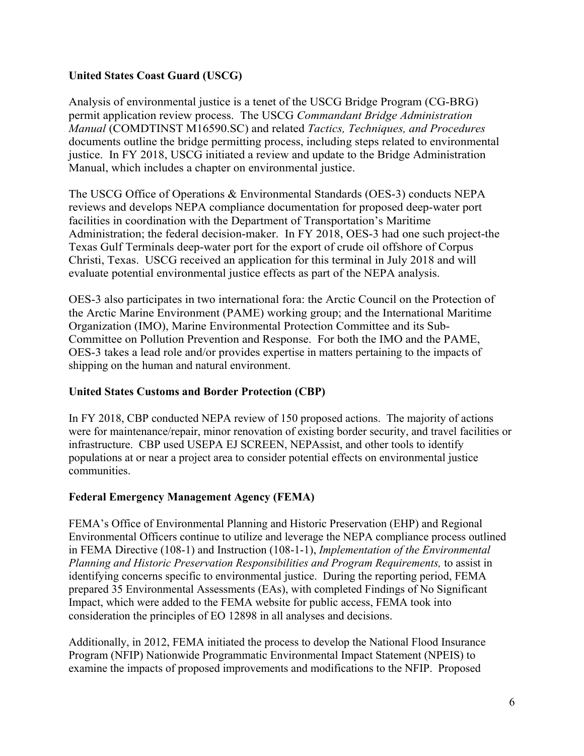## **United States Coast Guard (USCG)**

Analysis of environmental justice is a tenet of the USCG Bridge Program (CG-BRG) permit application review process. The USCG *Commandant Bridge Administration Manual* (COMDTINST M16590.SC) and related *Tactics, Techniques, and Procedures* documents outline the bridge permitting process, including steps related to environmental justice. In FY 2018, USCG initiated a review and update to the Bridge Administration Manual, which includes a chapter on environmental justice.

The USCG Office of Operations & Environmental Standards (OES-3) conducts NEPA reviews and develops NEPA compliance documentation for proposed deep-water port facilities in coordination with the Department of Transportation's Maritime Administration; the federal decision-maker. In FY 2018, OES-3 had one such project-the Texas Gulf Terminals deep-water port for the export of crude oil offshore of Corpus Christi, Texas. USCG received an application for this terminal in July 2018 and will evaluate potential environmental justice effects as part of the NEPA analysis.

OES-3 also participates in two international fora: the Arctic Council on the Protection of the Arctic Marine Environment (PAME) working group; and the International Maritime Organization (IMO), Marine Environmental Protection Committee and its Sub-Committee on Pollution Prevention and Response. For both the IMO and the PAME, OES-3 takes a lead role and/or provides expertise in matters pertaining to the impacts of shipping on the human and natural environment.

#### **United States Customs and Border Protection (CBP)**

In FY 2018, CBP conducted NEPA review of 150 proposed actions. The majority of actions were for maintenance/repair, minor renovation of existing border security, and travel facilities or infrastructure. CBP used USEPA EJ SCREEN, NEPAssist, and other tools to identify populations at or near a project area to consider potential effects on environmental justice communities.

#### **Federal Emergency Management Agency (FEMA)**

FEMA's Office of Environmental Planning and Historic Preservation (EHP) and Regional Environmental Officers continue to utilize and leverage the NEPA compliance process outlined in FEMA Directive (108-1) and Instruction (108-1-1), *Implementation of the Environmental Planning and Historic Preservation Responsibilities and Program Requirements,* to assist in identifying concerns specific to environmental justice. During the reporting period, FEMA prepared 35 Environmental Assessments (EAs), with completed Findings of No Significant Impact, which were added to the FEMA website for public access, FEMA took into consideration the principles of EO 12898 in all analyses and decisions.

Additionally, in 2012, FEMA initiated the process to develop the National Flood Insurance Program (NFIP) Nationwide Programmatic Environmental Impact Statement (NPEIS) to examine the impacts of proposed improvements and modifications to the NFIP. Proposed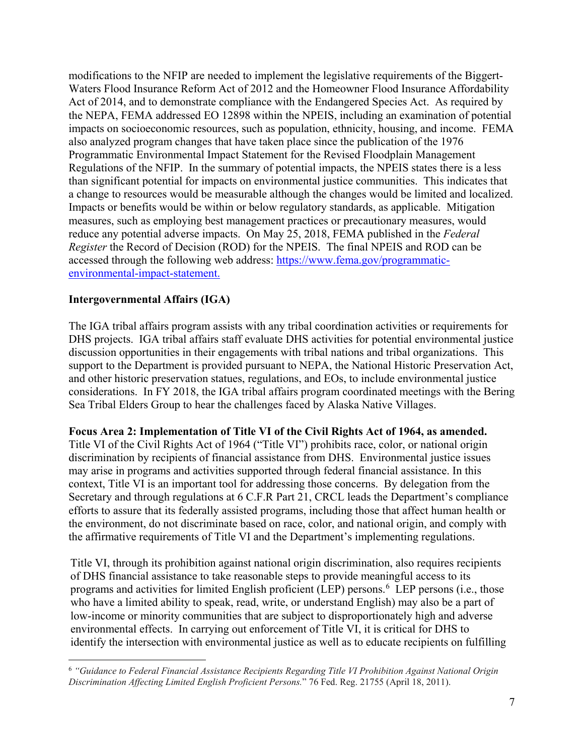modifications to the NFIP are needed to implement the legislative requirements of the Biggert-Waters Flood Insurance Reform Act of 2012 and the Homeowner Flood Insurance Affordability Act of 2014, and to demonstrate compliance with the Endangered Species Act. As required by the NEPA, FEMA addressed EO 12898 within the NPEIS, including an examination of potential impacts on socioeconomic resources, such as population, ethnicity, housing, and income. FEMA also analyzed program changes that have taken place since the publication of the 1976 Programmatic Environmental Impact Statement for the Revised Floodplain Management Regulations of the NFIP. In the summary of potential impacts, the NPEIS states there is a less than significant potential for impacts on environmental justice communities. This indicates that a change to resources would be measurable although the changes would be limited and localized. Impacts or benefits would be within or below regulatory standards, as applicable. Mitigation measures, such as employing best management practices or precautionary measures, would reduce any potential adverse impacts. On May 25, 2018, FEMA published in the *Federal Register* the Record of Decision (ROD) for the NPEIS. The final NPEIS and ROD can be accessed through the following web address: [https://www.fema.gov/programmatic](https://www.fema.gov/programmatic-environmental-impact-statement)[environmental-impact-statement.](https://www.fema.gov/programmatic-environmental-impact-statement)

#### **Intergovernmental Affairs (IGA)**

The IGA tribal affairs program assists with any tribal coordination activities or requirements for DHS projects. IGA tribal affairs staff evaluate DHS activities for potential environmental justice discussion opportunities in their engagements with tribal nations and tribal organizations. This support to the Department is provided pursuant to NEPA, the National Historic Preservation Act, and other historic preservation statues, regulations, and EOs, to include environmental justice considerations. In FY 2018, the IGA tribal affairs program coordinated meetings with the Bering Sea Tribal Elders Group to hear the challenges faced by Alaska Native Villages.

#### <span id="page-8-0"></span>**Focus Area 2: Implementation of Title VI of the Civil Rights Act of 1964, as amended.**

Title VI of the Civil Rights Act of 1964 ("Title VI") prohibits race, color, or national origin discrimination by recipients of financial assistance from DHS. Environmental justice issues may arise in programs and activities supported through federal financial assistance. In this context, Title VI is an important tool for addressing those concerns. By delegation from the Secretary and through regulations at 6 C.F.R Part 21, CRCL leads the Department's compliance efforts to assure that its federally assisted programs, including those that affect human health or the environment, do not discriminate based on race, color, and national origin, and comply with the affirmative requirements of Title VI and the Department's implementing regulations.

Title VI, through its prohibition against national origin discrimination, also requires recipients of DHS financial assistance to take reasonable steps to provide meaningful access to its programs and activities for limited English proficient (LEP) persons.<sup>[6](#page-8-1)</sup> LEP persons (i.e., those who have a limited ability to speak, read, write, or understand English) may also be a part of low-income or minority communities that are subject to disproportionately high and adverse environmental effects. In carrying out enforcement of Title VI, it is critical for DHS to identify the intersection with environmental justice as well as to educate recipients on fulfilling

<span id="page-8-1"></span> $\overline{a}$ <sup>6</sup> *"Guidance to Federal Financial Assistance Recipients Regarding Title VI Prohibition Against National Origin Discrimination Affecting Limited English Proficient Persons.*" 76 Fed. Reg. 21755 (April 18, 2011).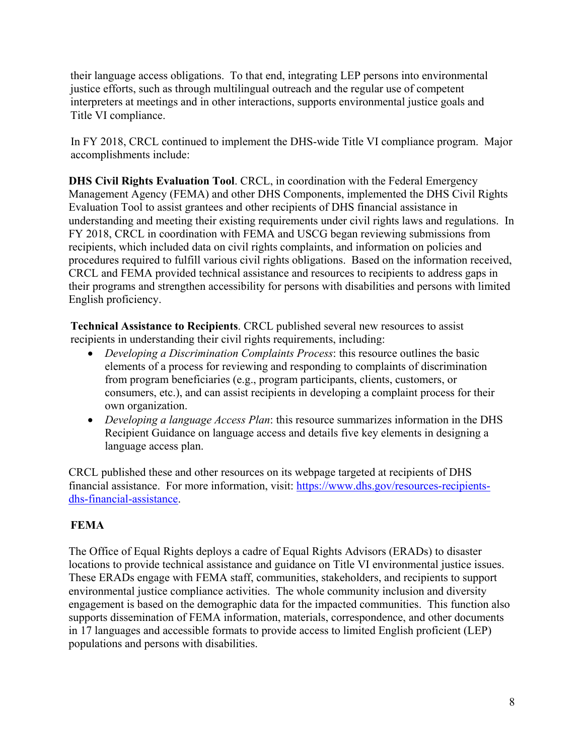their language access obligations. To that end, integrating LEP persons into environmental justice efforts, such as through multilingual outreach and the regular use of competent interpreters at meetings and in other interactions, supports environmental justice goals and Title VI compliance.

In FY 2018, CRCL continued to implement the DHS-wide Title VI compliance program. Major accomplishments include:

**DHS Civil Rights Evaluation Tool**. CRCL, in coordination with the Federal Emergency Management Agency (FEMA) and other DHS Components, implemented the DHS Civil Rights Evaluation Tool to assist grantees and other recipients of DHS financial assistance in understanding and meeting their existing requirements under civil rights laws and regulations. In FY 2018, CRCL in coordination with FEMA and USCG began reviewing submissions from recipients, which included data on civil rights complaints, and information on policies and procedures required to fulfill various civil rights obligations. Based on the information received, CRCL and FEMA provided technical assistance and resources to recipients to address gaps in their programs and strengthen accessibility for persons with disabilities and persons with limited English proficiency.

**Technical Assistance to Recipients**. CRCL published several new resources to assist recipients in understanding their civil rights requirements, including:

- *Developing a Discrimination Complaints Process*: this resource outlines the basic elements of a process for reviewing and responding to complaints of discrimination from program beneficiaries (e.g., program participants, clients, customers, or consumers, etc.), and can assist recipients in developing a complaint process for their own organization.
- *Developing a language Access Plan*: this resource summarizes information in the DHS Recipient Guidance on language access and details five key elements in designing a language access plan.

CRCL published these and other resources on its webpage targeted at recipients of DHS financial assistance. For more information, visit: [https://www.dhs.gov/resources-recipients](https://www.dhs.gov/resources-recipients-dhs-financial-assistance)[dhs-financial-assistance.](https://www.dhs.gov/resources-recipients-dhs-financial-assistance)

## **FEMA**

The Office of Equal Rights deploys a cadre of Equal Rights Advisors (ERADs) to disaster locations to provide technical assistance and guidance on Title VI environmental justice issues. These ERADs engage with FEMA staff, communities, stakeholders, and recipients to support environmental justice compliance activities. The whole community inclusion and diversity engagement is based on the demographic data for the impacted communities. This function also supports dissemination of FEMA information, materials, correspondence, and other documents in 17 languages and accessible formats to provide access to limited English proficient (LEP) populations and persons with disabilities.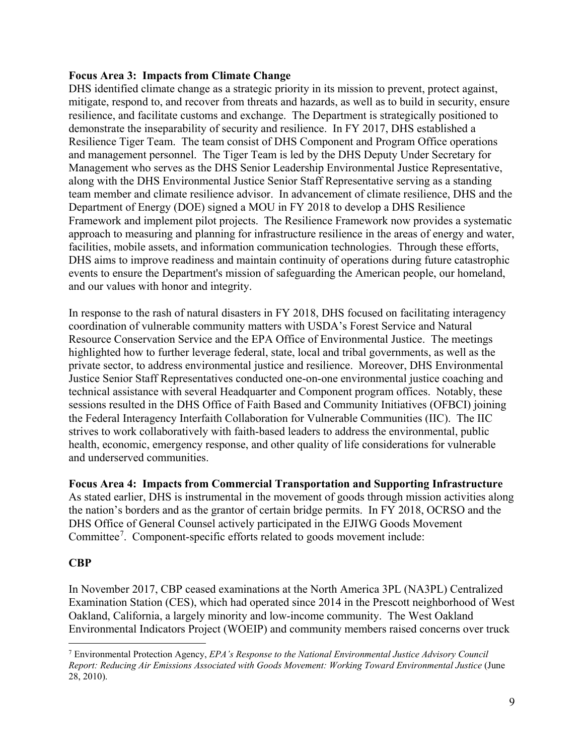#### <span id="page-10-0"></span>**Focus Area 3: Impacts from Climate Change**

DHS identified climate change as a strategic priority in its mission to prevent, protect against, mitigate, respond to, and recover from threats and hazards, as well as to build in security, ensure resilience, and facilitate customs and exchange. The Department is strategically positioned to demonstrate the inseparability of security and resilience. In FY 2017, DHS established a Resilience Tiger Team. The team consist of DHS Component and Program Office operations and management personnel. The Tiger Team is led by the DHS Deputy Under Secretary for Management who serves as the DHS Senior Leadership Environmental Justice Representative, along with the DHS Environmental Justice Senior Staff Representative serving as a standing team member and climate resilience advisor. In advancement of climate resilience, DHS and the Department of Energy (DOE) signed a MOU in FY 2018 to develop a DHS Resilience Framework and implement pilot projects. The Resilience Framework now provides a systematic approach to measuring and planning for infrastructure resilience in the areas of energy and water, facilities, mobile assets, and information communication technologies. Through these efforts, DHS aims to improve readiness and maintain continuity of operations during future catastrophic events to ensure the Department's mission of safeguarding the American people, our homeland, and our values with honor and integrity.

In response to the rash of natural disasters in FY 2018, DHS focused on facilitating interagency coordination of vulnerable community matters with USDA's Forest Service and Natural Resource Conservation Service and the EPA Office of Environmental Justice. The meetings highlighted how to further leverage federal, state, local and tribal governments, as well as the private sector, to address environmental justice and resilience. Moreover, DHS Environmental Justice Senior Staff Representatives conducted one-on-one environmental justice coaching and technical assistance with several Headquarter and Component program offices. Notably, these sessions resulted in the DHS Office of Faith Based and Community Initiatives (OFBCI) joining the Federal Interagency Interfaith Collaboration for Vulnerable Communities (IIC). The IIC strives to work collaboratively with faith-based leaders to address the environmental, public health, economic, emergency response, and other quality of life considerations for vulnerable and underserved communities.

<span id="page-10-1"></span>**Focus Area 4: Impacts from Commercial Transportation and Supporting Infrastructure**  As stated earlier, DHS is instrumental in the movement of goods through mission activities along the nation's borders and as the grantor of certain bridge permits. In FY 2018, OCRSO and the DHS Office of General Counsel actively participated in the EJIWG Goods Movement Committee<sup>[7](#page-10-2)</sup>. Component-specific efforts related to goods movement include:

#### **CBP**

In November 2017, CBP ceased examinations at the North America 3PL (NA3PL) Centralized Examination Station (CES), which had operated since 2014 in the Prescott neighborhood of West Oakland, California, a largely minority and low-income community. The West Oakland Environmental Indicators Project (WOEIP) and community members raised concerns over truck

<span id="page-10-2"></span> $\overline{a}$ <sup>7</sup> Environmental Protection Agency, *EPA's Response to the National Environmental Justice Advisory Council Report: Reducing Air Emissions Associated with Goods Movement: Working Toward Environmental Justice* (June 28, 2010).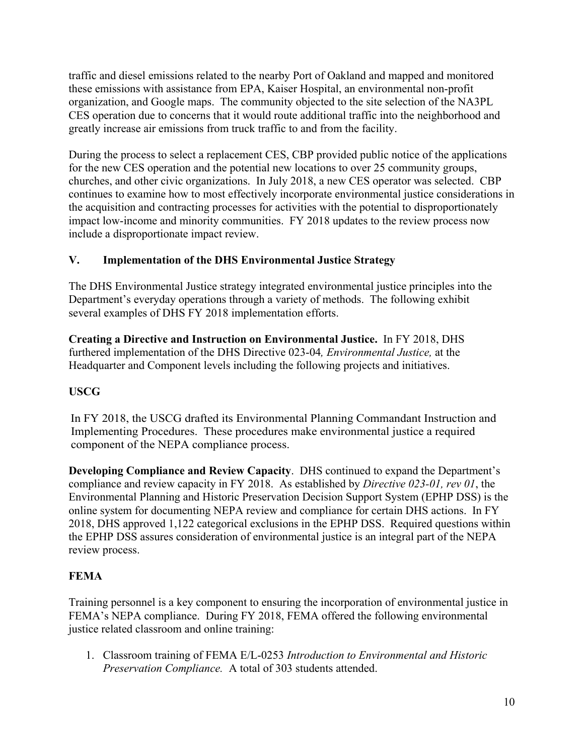traffic and diesel emissions related to the nearby Port of Oakland and mapped and monitored these emissions with assistance from EPA, Kaiser Hospital, an environmental non-profit organization, and Google maps. The community objected to the site selection of the NA3PL CES operation due to concerns that it would route additional traffic into the neighborhood and greatly increase air emissions from truck traffic to and from the facility.

During the process to select a replacement CES, CBP provided public notice of the applications for the new CES operation and the potential new locations to over 25 community groups, churches, and other civic organizations. In July 2018, a new CES operator was selected. CBP continues to examine how to most effectively incorporate environmental justice considerations in the acquisition and contracting processes for activities with the potential to disproportionately impact low-income and minority communities. FY 2018 updates to the review process now include a disproportionate impact review.

## <span id="page-11-0"></span>**V. Implementation of the DHS Environmental Justice Strategy**

The DHS Environmental Justice strategy integrated environmental justice principles into the Department's everyday operations through a variety of methods. The following exhibit several examples of DHS FY 2018 implementation efforts.

**Creating a Directive and Instruction on Environmental Justice.** In FY 2018, DHS furthered implementation of the DHS Directive 023-04*, Environmental Justice,* at the Headquarter and Component levels including the following projects and initiatives.

## **USCG**

In FY 2018, the USCG drafted its Environmental Planning Commandant Instruction and Implementing Procedures. These procedures make environmental justice a required component of the NEPA compliance process.

**Developing Compliance and Review Capacity**. DHS continued to expand the Department's compliance and review capacity in FY 2018. As established by *Directive 023-01, rev 01*, the Environmental Planning and Historic Preservation Decision Support System (EPHP DSS) is the online system for documenting NEPA review and compliance for certain DHS actions. In FY 2018, DHS approved 1,122 categorical exclusions in the EPHP DSS. Required questions within the EPHP DSS assures consideration of environmental justice is an integral part of the NEPA review process.

## **FEMA**

Training personnel is a key component to ensuring the incorporation of environmental justice in FEMA's NEPA compliance. During FY 2018, FEMA offered the following environmental justice related classroom and online training:

1. Classroom training of FEMA E/L-0253 *Introduction to Environmental and Historic Preservation Compliance.* A total of 303 students attended.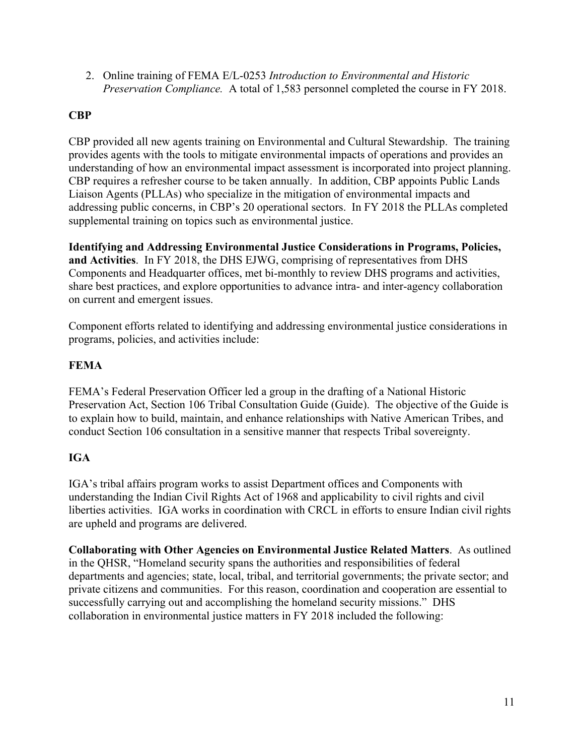2. Online training of FEMA E/L-0253 *Introduction to Environmental and Historic Preservation Compliance.* A total of 1,583 personnel completed the course in FY 2018.

## **CBP**

CBP provided all new agents training on Environmental and Cultural Stewardship. The training provides agents with the tools to mitigate environmental impacts of operations and provides an understanding of how an environmental impact assessment is incorporated into project planning. CBP requires a refresher course to be taken annually. In addition, CBP appoints Public Lands Liaison Agents (PLLAs) who specialize in the mitigation of environmental impacts and addressing public concerns, in CBP's 20 operational sectors. In FY 2018 the PLLAs completed supplemental training on topics such as environmental justice.

**Identifying and Addressing Environmental Justice Considerations in Programs, Policies, and Activities**. In FY 2018, the DHS EJWG, comprising of representatives from DHS Components and Headquarter offices, met bi-monthly to review DHS programs and activities, share best practices, and explore opportunities to advance intra- and inter-agency collaboration on current and emergent issues.

Component efforts related to identifying and addressing environmental justice considerations in programs, policies, and activities include:

## **FEMA**

FEMA's Federal Preservation Officer led a group in the drafting of a National Historic Preservation Act, Section 106 Tribal Consultation Guide (Guide). The objective of the Guide is to explain how to build, maintain, and enhance relationships with Native American Tribes, and conduct Section 106 consultation in a sensitive manner that respects Tribal sovereignty.

## **IGA**

IGA's tribal affairs program works to assist Department offices and Components with understanding the Indian Civil Rights Act of 1968 and applicability to civil rights and civil liberties activities. IGA works in coordination with CRCL in efforts to ensure Indian civil rights are upheld and programs are delivered.

**Collaborating with Other Agencies on Environmental Justice Related Matters**. As outlined in the QHSR, "Homeland security spans the authorities and responsibilities of federal departments and agencies; state, local, tribal, and territorial governments; the private sector; and private citizens and communities. For this reason, coordination and cooperation are essential to successfully carrying out and accomplishing the homeland security missions." DHS collaboration in environmental justice matters in FY 2018 included the following: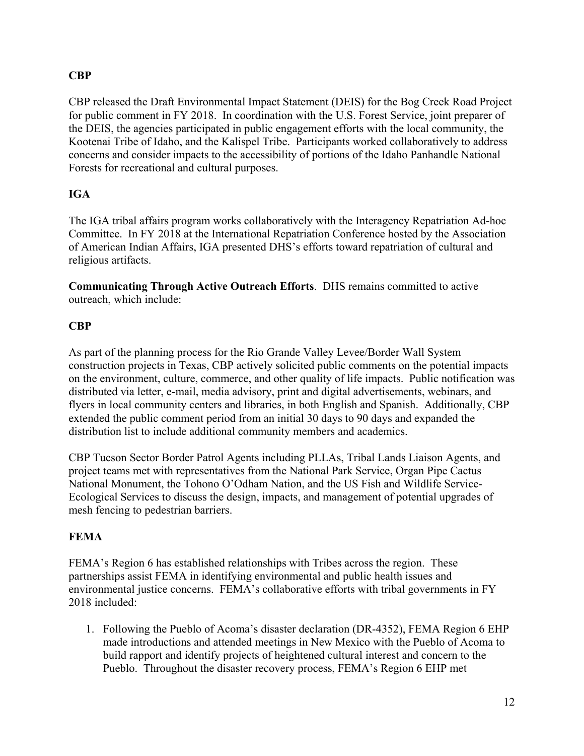## **CBP**

CBP released the Draft Environmental Impact Statement (DEIS) for the Bog Creek Road Project for public comment in FY 2018. In coordination with the U.S. Forest Service, joint preparer of the DEIS, the agencies participated in public engagement efforts with the local community, the Kootenai Tribe of Idaho, and the Kalispel Tribe. Participants worked collaboratively to address concerns and consider impacts to the accessibility of portions of the Idaho Panhandle National Forests for recreational and cultural purposes.

## **IGA**

The IGA tribal affairs program works collaboratively with the Interagency Repatriation Ad-hoc Committee. In FY 2018 at the International Repatriation Conference hosted by the Association of American Indian Affairs, IGA presented DHS's efforts toward repatriation of cultural and religious artifacts.

**Communicating Through Active Outreach Efforts**. DHS remains committed to active outreach, which include:

## **CBP**

As part of the planning process for the Rio Grande Valley Levee/Border Wall System construction projects in Texas, CBP actively solicited public comments on the potential impacts on the environment, culture, commerce, and other quality of life impacts. Public notification was distributed via letter, e-mail, media advisory, print and digital advertisements, webinars, and flyers in local community centers and libraries, in both English and Spanish. Additionally, CBP extended the public comment period from an initial 30 days to 90 days and expanded the distribution list to include additional community members and academics.

CBP Tucson Sector Border Patrol Agents including PLLAs, Tribal Lands Liaison Agents, and project teams met with representatives from the National Park Service, Organ Pipe Cactus National Monument, the Tohono O'Odham Nation, and the US Fish and Wildlife Service-Ecological Services to discuss the design, impacts, and management of potential upgrades of mesh fencing to pedestrian barriers.

## **FEMA**

FEMA's Region 6 has established relationships with Tribes across the region. These partnerships assist FEMA in identifying environmental and public health issues and environmental justice concerns. FEMA's collaborative efforts with tribal governments in FY 2018 included:

1. Following the Pueblo of Acoma's disaster declaration (DR-4352), FEMA Region 6 EHP made introductions and attended meetings in New Mexico with the Pueblo of Acoma to build rapport and identify projects of heightened cultural interest and concern to the Pueblo. Throughout the disaster recovery process, FEMA's Region 6 EHP met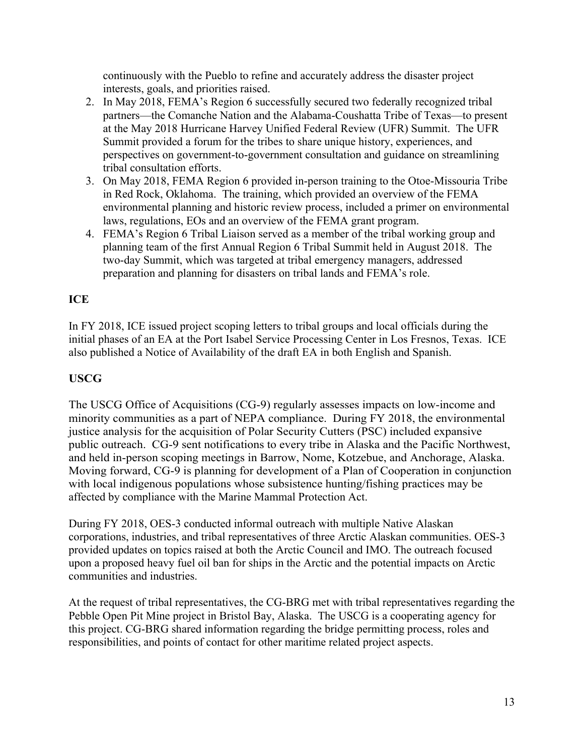continuously with the Pueblo to refine and accurately address the disaster project interests, goals, and priorities raised.

- 2. In May 2018, FEMA's Region 6 successfully secured two federally recognized tribal partners—the Comanche Nation and the Alabama-Coushatta Tribe of Texas—to present at the May 2018 Hurricane Harvey Unified Federal Review (UFR) Summit. The UFR Summit provided a forum for the tribes to share unique history, experiences, and perspectives on government-to-government consultation and guidance on streamlining tribal consultation efforts.
- 3. On May 2018, FEMA Region 6 provided in-person training to the Otoe-Missouria Tribe in Red Rock, Oklahoma. The training, which provided an overview of the FEMA environmental planning and historic review process, included a primer on environmental laws, regulations, EOs and an overview of the FEMA grant program.
- 4. FEMA's Region 6 Tribal Liaison served as a member of the tribal working group and planning team of the first Annual Region 6 Tribal Summit held in August 2018. The two-day Summit, which was targeted at tribal emergency managers, addressed preparation and planning for disasters on tribal lands and FEMA's role.

## **ICE**

In FY 2018, ICE issued project scoping letters to tribal groups and local officials during the initial phases of an EA at the Port Isabel Service Processing Center in Los Fresnos, Texas. ICE also published a Notice of Availability of the draft EA in both English and Spanish.

## **USCG**

The USCG Office of Acquisitions (CG-9) regularly assesses impacts on low-income and minority communities as a part of NEPA compliance. During FY 2018, the environmental justice analysis for the acquisition of Polar Security Cutters (PSC) included expansive public outreach. CG-9 sent notifications to every tribe in Alaska and the Pacific Northwest, and held in-person scoping meetings in Barrow, Nome, Kotzebue, and Anchorage, Alaska. Moving forward, CG-9 is planning for development of a Plan of Cooperation in conjunction with local indigenous populations whose subsistence hunting/fishing practices may be affected by compliance with the Marine Mammal Protection Act.

During FY 2018, OES-3 conducted informal outreach with multiple Native Alaskan corporations, industries, and tribal representatives of three Arctic Alaskan communities. OES-3 provided updates on topics raised at both the Arctic Council and IMO. The outreach focused upon a proposed heavy fuel oil ban for ships in the Arctic and the potential impacts on Arctic communities and industries.

At the request of tribal representatives, the CG-BRG met with tribal representatives regarding the Pebble Open Pit Mine project in Bristol Bay, Alaska. The USCG is a cooperating agency for this project. CG-BRG shared information regarding the bridge permitting process, roles and responsibilities, and points of contact for other maritime related project aspects.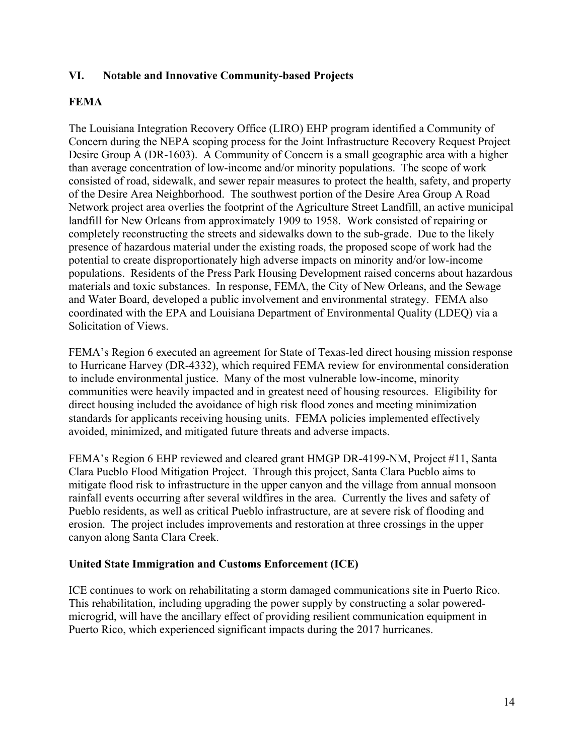#### <span id="page-15-0"></span>**VI. Notable and Innovative Community-based Projects**

### **FEMA**

The Louisiana Integration Recovery Office (LIRO) EHP program identified a Community of Concern during the NEPA scoping process for the Joint Infrastructure Recovery Request Project Desire Group A (DR-1603). A Community of Concern is a small geographic area with a higher than average concentration of low-income and/or minority populations. The scope of work consisted of road, sidewalk, and sewer repair measures to protect the health, safety, and property of the Desire Area Neighborhood. The southwest portion of the Desire Area Group A Road Network project area overlies the footprint of the Agriculture Street Landfill, an active municipal landfill for New Orleans from approximately 1909 to 1958. Work consisted of repairing or completely reconstructing the streets and sidewalks down to the sub-grade. Due to the likely presence of hazardous material under the existing roads, the proposed scope of work had the potential to create disproportionately high adverse impacts on minority and/or low-income populations. Residents of the Press Park Housing Development raised concerns about hazardous materials and toxic substances. In response, FEMA, the City of New Orleans, and the Sewage and Water Board, developed a public involvement and environmental strategy. FEMA also coordinated with the EPA and Louisiana Department of Environmental Quality (LDEQ) via a Solicitation of Views.

FEMA's Region 6 executed an agreement for State of Texas-led direct housing mission response to Hurricane Harvey (DR-4332), which required FEMA review for environmental consideration to include environmental justice. Many of the most vulnerable low-income, minority communities were heavily impacted and in greatest need of housing resources. Eligibility for direct housing included the avoidance of high risk flood zones and meeting minimization standards for applicants receiving housing units. FEMA policies implemented effectively avoided, minimized, and mitigated future threats and adverse impacts.

FEMA's Region 6 EHP reviewed and cleared grant HMGP DR-4199-NM, Project #11, Santa Clara Pueblo Flood Mitigation Project. Through this project, Santa Clara Pueblo aims to mitigate flood risk to infrastructure in the upper canyon and the village from annual monsoon rainfall events occurring after several wildfires in the area. Currently the lives and safety of Pueblo residents, as well as critical Pueblo infrastructure, are at severe risk of flooding and erosion. The project includes improvements and restoration at three crossings in the upper canyon along Santa Clara Creek.

#### **United State Immigration and Customs Enforcement (ICE)**

ICE continues to work on rehabilitating a storm damaged communications site in Puerto Rico. This rehabilitation, including upgrading the power supply by constructing a solar poweredmicrogrid, will have the ancillary effect of providing resilient communication equipment in Puerto Rico, which experienced significant impacts during the 2017 hurricanes.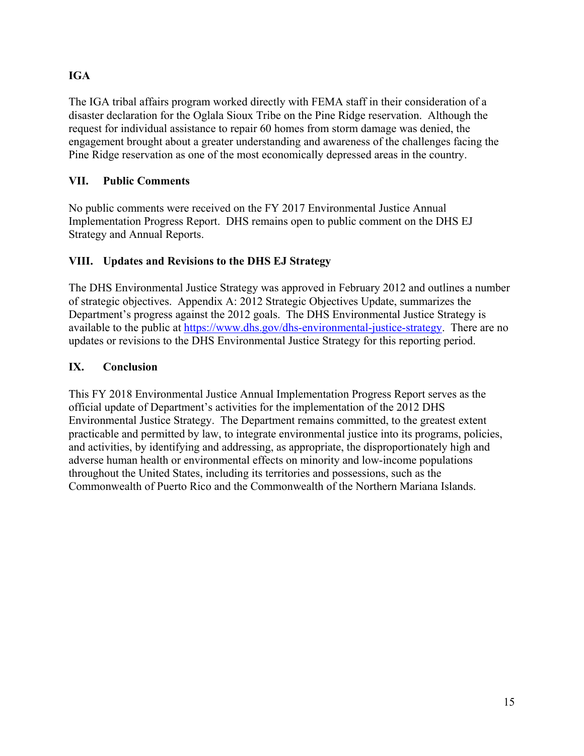## **IGA**

The IGA tribal affairs program worked directly with FEMA staff in their consideration of a disaster declaration for the Oglala Sioux Tribe on the Pine Ridge reservation. Although the request for individual assistance to repair 60 homes from storm damage was denied, the engagement brought about a greater understanding and awareness of the challenges facing the Pine Ridge reservation as one of the most economically depressed areas in the country.

## <span id="page-16-0"></span>**VII. Public Comments**

No public comments were received on the FY 2017 Environmental Justice Annual Implementation Progress Report. DHS remains open to public comment on the DHS EJ Strategy and Annual Reports.

## <span id="page-16-1"></span>**VIII. Updates and Revisions to the DHS EJ Strategy**

The DHS Environmental Justice Strategy was approved in February 2012 and outlines a number of strategic objectives. Appendix A: 2012 Strategic Objectives Update, summarizes the Department's progress against the 2012 goals. The DHS Environmental Justice Strategy is available to the public at [https://www.dhs.gov/dhs-environmental-justice-strategy.](https://www.dhs.gov/dhs-environmental-justice-strategy) There are no updates or revisions to the DHS Environmental Justice Strategy for this reporting period.

## <span id="page-16-2"></span>**IX. Conclusion**

This FY 2018 Environmental Justice Annual Implementation Progress Report serves as the official update of Department's activities for the implementation of the 2012 DHS Environmental Justice Strategy. The Department remains committed, to the greatest extent practicable and permitted by law, to integrate environmental justice into its programs, policies, and activities, by identifying and addressing, as appropriate, the disproportionately high and adverse human health or environmental effects on minority and low-income populations throughout the United States, including its territories and possessions, such as the Commonwealth of Puerto Rico and the Commonwealth of the Northern Mariana Islands.